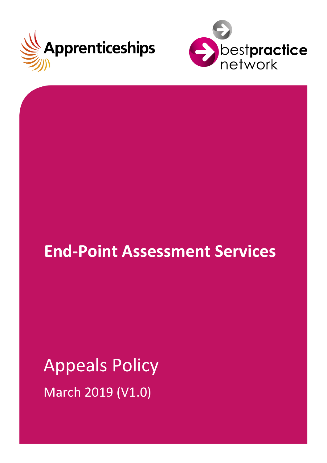



# **End-Point Assessment Services**

# Appeals Policy March 2019 (V1.0)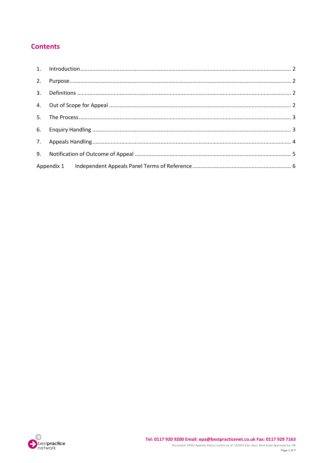# **Contents**

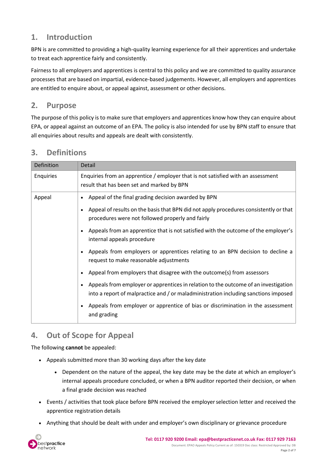# <span id="page-2-0"></span>**1. Introduction**

BPN is are committed to providing a high-quality learning experience for all their apprentices and undertake to treat each apprentice fairly and consistently.

Fairness to all employers and apprentices is central to this policy and we are committed to quality assurance processes that are based on impartial, evidence-based judgements. However, all employers and apprentices are entitled to enquire about, or appeal against, assessment or other decisions.

#### <span id="page-2-1"></span>**2. Purpose**

The purpose of this policy is to make sure that employers and apprentices know how they can enquire about EPA, or appeal against an outcome of an EPA. The policy is also intended for use by BPN staff to ensure that all enquiries about results and appeals are dealt with consistently.

| Definition | Detail                                                                                                                                                                     |
|------------|----------------------------------------------------------------------------------------------------------------------------------------------------------------------------|
| Enquiries  | Enquiries from an apprentice / employer that is not satisfied with an assessment<br>result that has been set and marked by BPN                                             |
| Appeal     | Appeal of the final grading decision awarded by BPN<br>$\bullet$                                                                                                           |
|            | Appeal of results on the basis that BPN did not apply procedures consistently or that<br>$\bullet$<br>procedures were not followed properly and fairly                     |
|            | Appeals from an apprentice that is not satisfied with the outcome of the employer's<br>$\bullet$<br>internal appeals procedure                                             |
|            | Appeals from employers or apprentices relating to an BPN decision to decline a<br>$\bullet$<br>request to make reasonable adjustments                                      |
|            | Appeal from employers that disagree with the outcome(s) from assessors<br>$\bullet$                                                                                        |
|            | Appeals from employer or apprentices in relation to the outcome of an investigation<br>into a report of malpractice and / or maladministration including sanctions imposed |
|            | Appeals from employer or apprentice of bias or discrimination in the assessment<br>$\bullet$<br>and grading                                                                |

# <span id="page-2-2"></span>**3. Definitions**

# <span id="page-2-3"></span>**4. Out of Scope for Appeal**

The following **cannot** be appealed:

- Appeals submitted more than 30 working days after the key date
	- Dependent on the nature of the appeal, the key date may be the date at which an employer's internal appeals procedure concluded, or when a BPN auditor reported their decision, or when a final grade decision was reached
- Events / activities that took place before BPN received the employerselection letter and received the apprentice registration details
- Anything that should be dealt with under and employer's own disciplinary or grievance procedure

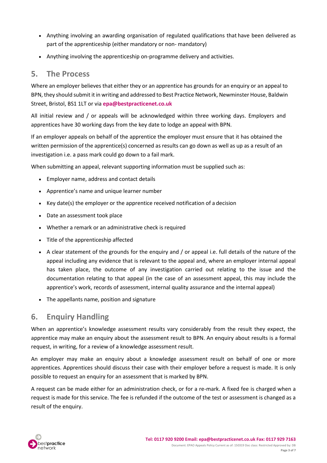- Anything involving an awarding organisation of regulated qualifications that have been delivered as part of the apprenticeship (either mandatory or non- mandatory)
- Anything involving the apprenticeship on-programme delivery and activities.

#### <span id="page-3-0"></span>**5. The Process**

Where an employer believes that either they or an apprentice has grounds for an enquiry or an appeal to BPN, they should submit it in writing and addressed to Best Practice Network, Newminster House, Baldwin Street, Bristol, BS1 1LT or via **[epa@bestpracticenet.co.uk](mailto:epa@bestpracticenet.co.uk)**

All initial review and / or appeals will be acknowledged within three working days. Employers and apprentices have 30 working days from the key date to lodge an appeal with BPN.

If an employer appeals on behalf of the apprentice the employer must ensure that it has obtained the written permission of the apprentice(s) concerned as results can go down as well as up as a result of an investigation i.e. a pass mark could go down to a fail mark.

When submitting an appeal, relevant supporting information must be supplied such as:

- Employer name, address and contact details
- Apprentice's name and unique learner number
- Key date(s) the employer or the apprentice received notification of a decision
- Date an assessment took place
- Whether a remark or an administrative check is required
- Title of the apprenticeship affected
- A clear statement of the grounds for the enquiry and / or appeal i.e. full details of the nature of the appeal including any evidence that is relevant to the appeal and, where an employer internal appeal has taken place, the outcome of any investigation carried out relating to the issue and the documentation relating to that appeal (in the case of an assessment appeal, this may include the apprentice's work, records of assessment, internal quality assurance and the internal appeal)
- The appellants name, position and signature

# <span id="page-3-1"></span>**6. Enquiry Handling**

When an apprentice's knowledge assessment results vary considerably from the result they expect, the apprentice may make an enquiry about the assessment result to BPN. An enquiry about results is a formal request, in writing, for a review of a knowledge assessment result.

An employer may make an enquiry about a knowledge assessment result on behalf of one or more apprentices. Apprentices should discuss their case with their employer before a request is made. It is only possible to request an enquiry for an assessment that is marked by BPN.

A request can be made either for an administration check, or for a re-mark. A fixed fee is charged when a request is made for this service. The fee is refunded if the outcome of the test or assessment is changed as a result of the enquiry.

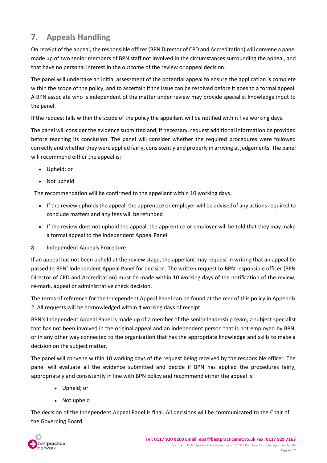# <span id="page-4-0"></span>**7. Appeals Handling**

On receipt of the appeal, the responsible officer (BPN Director of CPD and Accreditation) will convene a panel made up of two senior members of BPN staff not involved in the circumstances surrounding the appeal, and that have no personal interest in the outcome of the review or appeal decision.

The panel will undertake an initial assessment of the potential appeal to ensure the application is complete within the scope of the policy, and to ascertain if the issue can be resolved before it goes to a formal appeal. A BPN associate who is independent of the matter under review may provide specialist knowledge input to the panel.

If the request falls within the scope of the policy the appellant will be notified within five working days.

The panel will consider the evidence submitted and, if necessary, request additional information be provided before reaching its conclusion. The panel will consider whether the required procedures were followed correctly and whether they were applied fairly, consistently and properly in arriving at judgements. The panel will recommend either the appeal is:

- Upheld; or
- Not upheld

The recommendation will be confirmed to the appellant within 10 working days.

- If the review upholds the appeal, the apprentice or employer will be advisedof any actions required to conclude matters and any fees will be refunded
- If the review does not uphold the appeal, the apprentice or employer will be told that they may make a formal appeal to the Independent Appeal Panel
- 8. Independent Appeals Procedure

If an appeal has not been upheld at the review stage, the appellant may request in writing that an appeal be passed to BPN' Independent Appeal Panel for decision. The written request to BPN responsible officer (BPN Director of CPD and Accreditation) must be made within 10 working days of the notification of the review, re-mark, appeal or administrative check decision.

The terms of reference for the Independent Appeal Panel can be found at the rear of this policy in Appendix 2. All requests will be acknowledged within 4 working days of receipt.

BPN's Independent Appeal Panel is made up of a member of the senior leadership team, a subject specialist that has not been involved in the original appeal and an independent person that is not employed by BPN, or in any other way connected to the organisation that has the appropriate knowledge and skills to make a decision on the subject matter.

The panel will convene within 10 working days of the request being received by the responsible officer. The panel will evaluate all the evidence submitted and decide if BPN has applied the procedures fairly, appropriately and consistently in line with BPN policy and recommend either the appeal is:

- Upheld; or
- Not upheld

The decision of the Independent Appeal Panel is final. All decisions will be communicated to the Chair of the Governing Board.

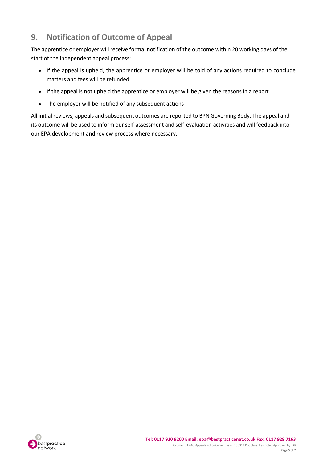# <span id="page-5-0"></span>**9. Notification of Outcome of Appeal**

The apprentice or employer will receive formal notification of the outcome within 20 working days of the start of the independent appeal process:

- If the appeal is upheld, the apprentice or employer will be told of any actions required to conclude matters and fees will be refunded
- If the appeal is not upheld the apprentice or employer will be given the reasons in a report
- The employer will be notified of any subsequent actions

All initial reviews, appeals and subsequent outcomes are reported to BPN Governing Body. The appeal and its outcome will be used to inform our self-assessment and self-evaluation activities and will feedback into our EPA development and review process where necessary.